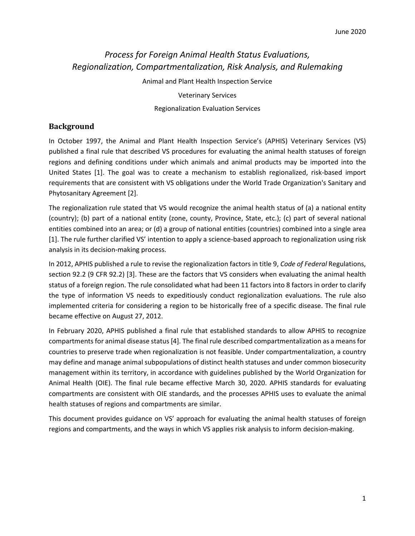# *Process for Foreign Animal Health Status Evaluations, Regionalization, Compartmentalization, Risk Analysis, and Rulemaking*

Animal and Plant Health Inspection Service

Veterinary Services

Regionalization Evaluation Services

#### **Background**

In October 1997, the Animal and Plant Health Inspection Service's (APHIS) Veterinary Services (VS) published a final rule that described VS procedures for evaluating the animal health statuses of foreign regions and defining conditions under which animals and animal products may be imported into the United States [1]. The goal was to create a mechanism to establish regionalized, risk-based import requirements that are consistent with VS obligations under the World Trade Organization's Sanitary and Phytosanitary Agreement [2].

The regionalization rule stated that VS would recognize the animal health status of (a) a national entity (country); (b) part of a national entity (zone, county, Province, State, etc.); (c) part of several national entities combined into an area; or (d) a group of national entities (countries) combined into a single area [1]. The rule further clarified VS' intention to apply a science-based approach to regionalization using risk analysis in its decision-making process.

In 2012, APHIS published a rule to revise the regionalization factors in title 9, *Code of Federal* Regulations, section 92.2 (9 CFR 92.2) [3]. These are the factors that VS considers when evaluating the animal health status of a foreign region. The rule consolidated what had been 11 factors into 8 factors in order to clarify the type of information VS needs to expeditiously conduct regionalization evaluations. The rule also implemented criteria for considering a region to be historically free of a specific disease. The final rule became effective on August 27, 2012.

In February 2020, APHIS published a final rule that established standards to allow APHIS to recognize compartments for animal disease status [4]. The final rule described compartmentalization as a means for countries to preserve trade when regionalization is not feasible. Under compartmentalization, a country may define and manage animal subpopulations of distinct health statuses and under common biosecurity management within its territory, in accordance with guidelines published by the World Organization for Animal Health (OIE). The final rule became effective March 30, 2020. APHIS standards for evaluating compartments are consistent with OIE standards, and the processes APHIS uses to evaluate the animal health statuses of regions and compartments are similar.

This document provides guidance on VS' approach for evaluating the animal health statuses of foreign regions and compartments, and the ways in which VS applies risk analysis to inform decision-making.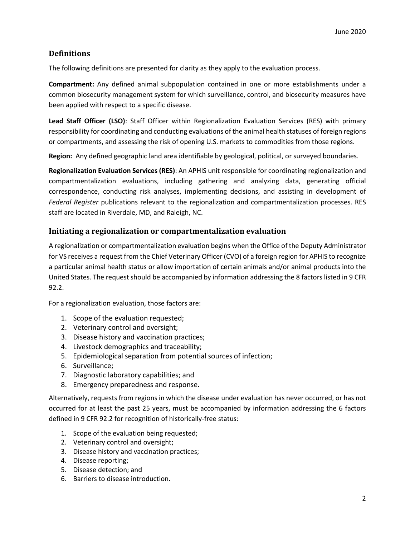# **Definitions**

The following definitions are presented for clarity as they apply to the evaluation process.

**Compartment:** Any defined animal subpopulation contained in one or more establishments under a common biosecurity management system for which surveillance, control, and biosecurity measures have been applied with respect to a specific disease.

**Lead Staff Officer (LSO)**: Staff Officer within Regionalization Evaluation Services (RES) with primary responsibility for coordinating and conducting evaluations of the animal health statuses of foreign regions or compartments, and assessing the risk of opening U.S. markets to commodities from those regions.

**Region:** Any defined geographic land area identifiable by geological, political, or surveyed boundaries.

**Regionalization Evaluation Services (RES)**: An APHIS unit responsible for coordinating regionalization and compartmentalization evaluations, including gathering and analyzing data, generating official correspondence, conducting risk analyses, implementing decisions, and assisting in development of *Federal Register* publications relevant to the regionalization and compartmentalization processes. RES staff are located in Riverdale, MD, and Raleigh, NC.

# **Initiating a regionalization or compartmentalization evaluation**

A regionalization or compartmentalization evaluation begins when the Office of the Deputy Administrator for VS receives a request from the Chief Veterinary Officer (CVO) of a foreign region for APHIS to recognize a particular animal health status or allow importation of certain animals and/or animal products into the United States. The request should be accompanied by information addressing the 8 factors listed in 9 CFR 92.2.

For a regionalization evaluation, those factors are:

- 1. Scope of the evaluation requested;
- 2. Veterinary control and oversight;
- 3. Disease history and vaccination practices;
- 4. Livestock demographics and traceability;
- 5. Epidemiological separation from potential sources of infection;
- 6. Surveillance;
- 7. Diagnostic laboratory capabilities; and
- 8. Emergency preparedness and response.

Alternatively, requests from regions in which the disease under evaluation has never occurred, or has not occurred for at least the past 25 years, must be accompanied by information addressing the 6 factors defined in 9 CFR 92.2 for recognition of historically-free status:

- 1. Scope of the evaluation being requested;
- 2. Veterinary control and oversight;
- 3. Disease history and vaccination practices;
- 4. Disease reporting;
- 5. Disease detection; and
- 6. Barriers to disease introduction.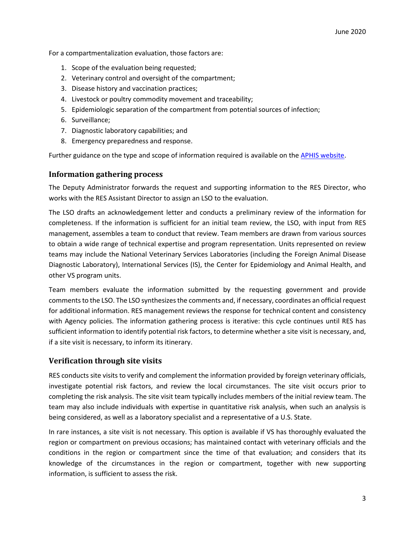For a compartmentalization evaluation, those factors are:

- 1. Scope of the evaluation being requested;
- 2. Veterinary control and oversight of the compartment;
- 3. Disease history and vaccination practices;
- 4. Livestock or poultry commodity movement and traceability;
- 5. Epidemiologic separation of the compartment from potential sources of infection;
- 6. Surveillance;
- 7. Diagnostic laboratory capabilities; and
- 8. Emergency preparedness and response.

Further guidance on the type and scope of information required is available on th[e APHIS website.](https://www.aphis.usda.gov/aphis/ourfocus/animalhealth/export/international-standard-setting-activities-oie/regionalization/ct_reg_request/!ut/p/z1/lVJNc8IgEP0tHnrMAAn58BhtGm3VdlKjJhcGIzG0kUTEj_77YmoPraO2zDDMW957uywLUjADqaA7vqSKV4KWGiepQ0aoG0IPo4GHYgT9SXsYRqMHGD4jMG0Ig2fcRZ1XqM-gA_0gcodB0DchskD6P_2k52j9OB6PPNTpt82_6eGF5cNb-glIOiDZ1y-WWp7MrrDT67mmIP2ZLwzutUOv3X_quQ7EgXWdEOJvwqWGRuYNAjp3OG_prXckug_uxT5gE0x3nO1BLCq50kPyenSsM74ASYapnbdhZji2hQ3MFq4xdzLPmNu2zbBtLea5C3oQPN76Fz14_G29Tn2QZpVQ7KDAjNYF35AGCkVKPpdUftzBDSXVVpK8yrabBlHBdVmkYLRURRNhh7qSiuSyWpETqeQ7dmJ-Bbi2leI0-ESy5bZsgL7N1BHrvd6yjTrWZsphd7jUr6aqMLjIKzD7RapXcRyLD-M9CiJvP86Lcjfw_VbrE1qrUVc!/dz/d5/L2dBISEvZ0FBIS9nQSEh/?urile=wcm%3Apath%3A%2Faphis_content_library%2Fsa_our_focus%2Fsa_animal_health%2Fsa_export_from_us%2Fsa_live_animals%2Fsa_international_regulations%2Fct_reg_request)

### **Information gathering process**

The Deputy Administrator forwards the request and supporting information to the RES Director, who works with the RES Assistant Director to assign an LSO to the evaluation.

The LSO drafts an acknowledgement letter and conducts a preliminary review of the information for completeness. If the information is sufficient for an initial team review, the LSO, with input from RES management, assembles a team to conduct that review. Team members are drawn from various sources to obtain a wide range of technical expertise and program representation. Units represented on review teams may include the National Veterinary Services Laboratories (including the Foreign Animal Disease Diagnostic Laboratory), International Services (IS), the Center for Epidemiology and Animal Health, and other VS program units.

Team members evaluate the information submitted by the requesting government and provide comments to the LSO. The LSO synthesizes the comments and, if necessary, coordinates an officialrequest for additional information. RES management reviews the response for technical content and consistency with Agency policies. The information gathering process is iterative: this cycle continues until RES has sufficient information to identify potential risk factors, to determine whether a site visit is necessary, and, if a site visit is necessary, to inform its itinerary.

# **Verification through site visits**

RES conducts site visits to verify and complement the information provided by foreign veterinary officials, investigate potential risk factors, and review the local circumstances. The site visit occurs prior to completing the risk analysis. The site visit team typically includes members of the initial review team. The team may also include individuals with expertise in quantitative risk analysis, when such an analysis is being considered, as well as a laboratory specialist and a representative of a U.S. State.

In rare instances, a site visit is not necessary. This option is available if VS has thoroughly evaluated the region or compartment on previous occasions; has maintained contact with veterinary officials and the conditions in the region or compartment since the time of that evaluation; and considers that its knowledge of the circumstances in the region or compartment, together with new supporting information, is sufficient to assess the risk.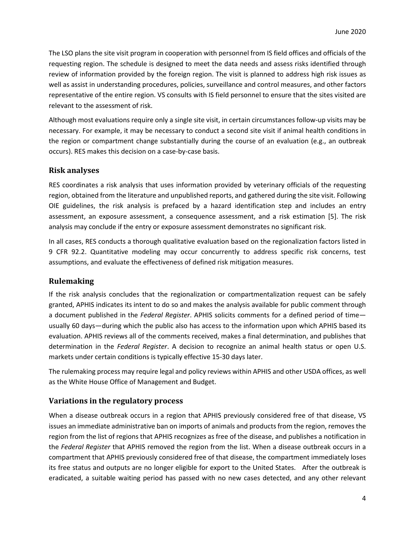The LSO plans the site visit program in cooperation with personnel from IS field offices and officials of the requesting region. The schedule is designed to meet the data needs and assess risks identified through review of information provided by the foreign region. The visit is planned to address high risk issues as well as assist in understanding procedures, policies, surveillance and control measures, and other factors representative of the entire region. VS consults with IS field personnel to ensure that the sites visited are relevant to the assessment of risk.

Although most evaluations require only a single site visit, in certain circumstances follow-up visits may be necessary. For example, it may be necessary to conduct a second site visit if animal health conditions in the region or compartment change substantially during the course of an evaluation (e.g., an outbreak occurs). RES makes this decision on a case-by-case basis.

### **Risk analyses**

RES coordinates a risk analysis that uses information provided by veterinary officials of the requesting region, obtained from the literature and unpublished reports, and gathered during the site visit. Following OIE guidelines, the risk analysis is prefaced by a hazard identification step and includes an entry assessment, an exposure assessment, a consequence assessment, and a risk estimation [5]. The risk analysis may conclude if the entry or exposure assessment demonstrates no significant risk.

In all cases, RES conducts a thorough qualitative evaluation based on the regionalization factors listed in 9 CFR 92.2. Quantitative modeling may occur concurrently to address specific risk concerns, test assumptions, and evaluate the effectiveness of defined risk mitigation measures.

# **Rulemaking**

If the risk analysis concludes that the regionalization or compartmentalization request can be safely granted, APHIS indicates its intent to do so and makes the analysis available for public comment through a document published in the *Federal Register*. APHIS solicits comments for a defined period of time usually 60 days—during which the public also has access to the information upon which APHIS based its evaluation. APHIS reviews all of the comments received, makes a final determination, and publishes that determination in the *Federal Register*. A decision to recognize an animal health status or open U.S. markets under certain conditions is typically effective 15-30 days later.

The rulemaking process may require legal and policy reviews within APHIS and other USDA offices, as well as the White House Office of Management and Budget.

#### **Variations in the regulatory process**

When a disease outbreak occurs in a region that APHIS previously considered free of that disease, VS issues an immediate administrative ban on imports of animals and products from the region, removes the region from the list of regions that APHIS recognizes as free of the disease, and publishes a notification in the *Federal Register* that APHIS removed the region from the list. When a disease outbreak occurs in a compartment that APHIS previously considered free of that disease, the compartment immediately loses its free status and outputs are no longer eligible for export to the United States. After the outbreak is eradicated, a suitable waiting period has passed with no new cases detected, and any other relevant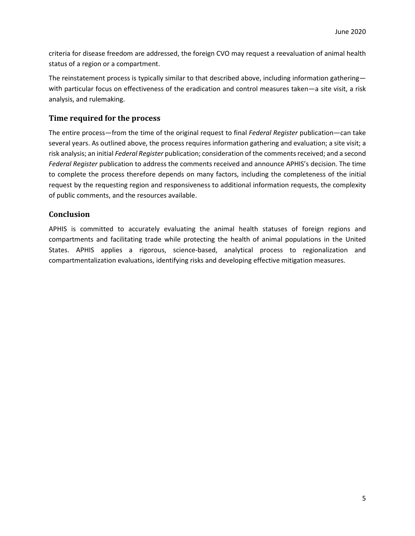criteria for disease freedom are addressed, the foreign CVO may request a reevaluation of animal health status of a region or a compartment.

The reinstatement process is typically similar to that described above, including information gathering with particular focus on effectiveness of the eradication and control measures taken—a site visit, a risk analysis, and rulemaking.

## **Time required for the process**

The entire process—from the time of the original request to final *Federal Register* publication—can take several years. As outlined above, the process requires information gathering and evaluation; a site visit; a risk analysis; an initial *Federal Register* publication; consideration of the comments received; and a second *Federal Register* publication to address the comments received and announce APHIS's decision. The time to complete the process therefore depends on many factors, including the completeness of the initial request by the requesting region and responsiveness to additional information requests, the complexity of public comments, and the resources available.

### **Conclusion**

APHIS is committed to accurately evaluating the animal health statuses of foreign regions and compartments and facilitating trade while protecting the health of animal populations in the United States. APHIS applies a rigorous, science-based, analytical process to regionalization and compartmentalization evaluations, identifying risks and developing effective mitigation measures.